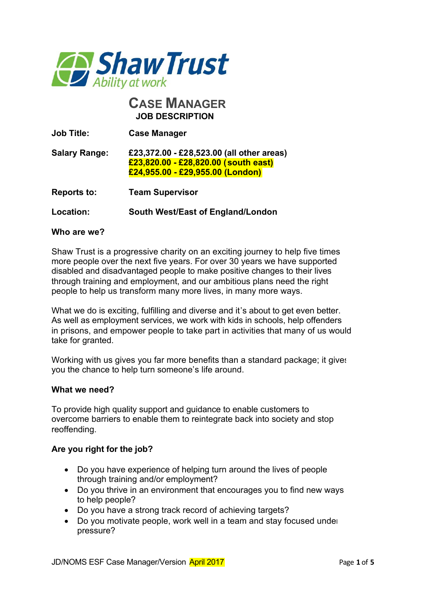

# **CASE MANAGER JOB DESCRIPTION**

| <b>Job Title:</b>    | <b>Case Manager</b>                                                                                                   |  |
|----------------------|-----------------------------------------------------------------------------------------------------------------------|--|
| <b>Salary Range:</b> | £23,372.00 - £28,523.00 (all other areas)<br>£23,820.00 - £28,820.00 (south east)<br>£24,955.00 - £29,955.00 (London) |  |
| <b>Reports to:</b>   | <b>Team Supervisor</b>                                                                                                |  |
| Location:            | South West/East of England/London                                                                                     |  |

### **Who are we?**

Shaw Trust is a progressive charity on an exciting journey to help five times more people over the next five years. For over 30 years we have supported disabled and disadvantaged people to make positive changes to their lives through training and employment, and our ambitious plans need the right people to help us transform many more lives, in many more ways.

What we do is exciting, fulfilling and diverse and it's about to get even better. As well as employment services, we work with kids in schools, help offenders in prisons, and empower people to take part in activities that many of us would take for granted.

Working with us gives you far more benefits than a standard package; it gives you the chance to help turn someone's life around.

#### **What we need?**

To provide high quality support and guidance to enable customers to overcome barriers to enable them to reintegrate back into society and stop reoffending.

#### **Are you right for the job?**

- · Do you have experience of helping turn around the lives of people through training and/or employment?
- · Do you thrive in an environment that encourages you to find new ways to help people?
- · Do you have a strong track record of achieving targets?
- Do you motivate people, work well in a team and stay focused under pressure?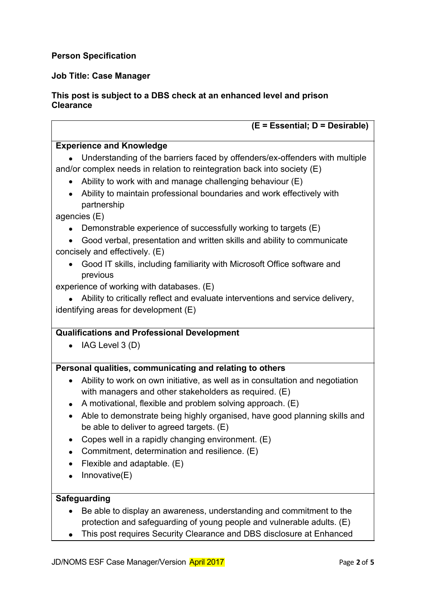# **Person Specification**

## **Job Title: Case Manager**

### **This post is subject to a DBS check at an enhanced level and prison Clearance**

| (E = Essential; D = Desirable)                                                                                                                                                                                                                                                                                                                                                                                                                                                                                              |  |  |
|-----------------------------------------------------------------------------------------------------------------------------------------------------------------------------------------------------------------------------------------------------------------------------------------------------------------------------------------------------------------------------------------------------------------------------------------------------------------------------------------------------------------------------|--|--|
| <b>Experience and Knowledge</b>                                                                                                                                                                                                                                                                                                                                                                                                                                                                                             |  |  |
| Understanding of the barriers faced by offenders/ex-offenders with multiple<br>and/or complex needs in relation to reintegration back into society $(E)$<br>Ability to work with and manage challenging behaviour (E)<br>$\bullet$<br>Ability to maintain professional boundaries and work effectively with<br>partnership                                                                                                                                                                                                  |  |  |
| agencies (E)                                                                                                                                                                                                                                                                                                                                                                                                                                                                                                                |  |  |
| Demonstrable experience of successfully working to targets (E)<br>Good verbal, presentation and written skills and ability to communicate<br>concisely and effectively. (E)                                                                                                                                                                                                                                                                                                                                                 |  |  |
| Good IT skills, including familiarity with Microsoft Office software and<br>$\bullet$<br>previous                                                                                                                                                                                                                                                                                                                                                                                                                           |  |  |
| experience of working with databases. (E)<br>Ability to critically reflect and evaluate interventions and service delivery,<br>identifying areas for development (E)                                                                                                                                                                                                                                                                                                                                                        |  |  |
| <b>Qualifications and Professional Development</b>                                                                                                                                                                                                                                                                                                                                                                                                                                                                          |  |  |
| IAG Level $3(D)$<br>$\bullet$                                                                                                                                                                                                                                                                                                                                                                                                                                                                                               |  |  |
| Personal qualities, communicating and relating to others                                                                                                                                                                                                                                                                                                                                                                                                                                                                    |  |  |
| Ability to work on own initiative, as well as in consultation and negotiation<br>$\bullet$<br>with managers and other stakeholders as required. (E)<br>A motivational, flexible and problem solving approach. (E)<br>$\bullet$<br>Able to demonstrate being highly organised, have good planning skills and<br>$\bullet$<br>be able to deliver to agreed targets. (E)<br>Copes well in a rapidly changing environment. (E)<br>Commitment, determination and resilience. (E)<br>Flexible and adaptable. (E)<br>Innovative(E) |  |  |
|                                                                                                                                                                                                                                                                                                                                                                                                                                                                                                                             |  |  |
| <b>Safeguarding</b><br>Be able to display an awareness, understanding and commitment to the<br>protection and safeguarding of young people and vulnerable adults. (E)<br>This post requires Security Clearance and DBS disclosure at Enhanced                                                                                                                                                                                                                                                                               |  |  |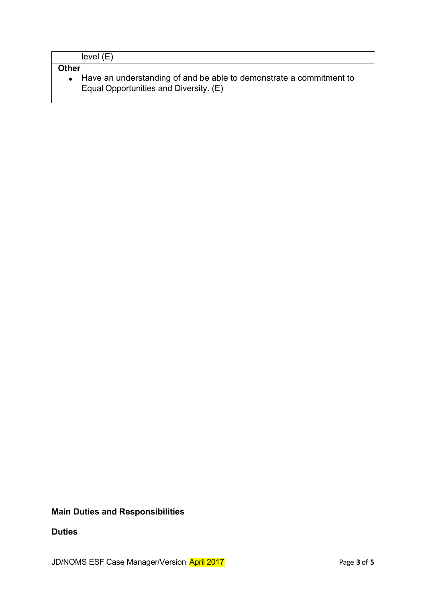| level (E) |  |
|-----------|--|
|-----------|--|

# **Other**

· Have an understanding of and be able to demonstrate a commitment to Equal Opportunities and Diversity. (E)

## **Main Duties and Responsibilities**

### **Duties**

JD/NOMS ESF Case Manager/Version **April 2017 Page 3** of 5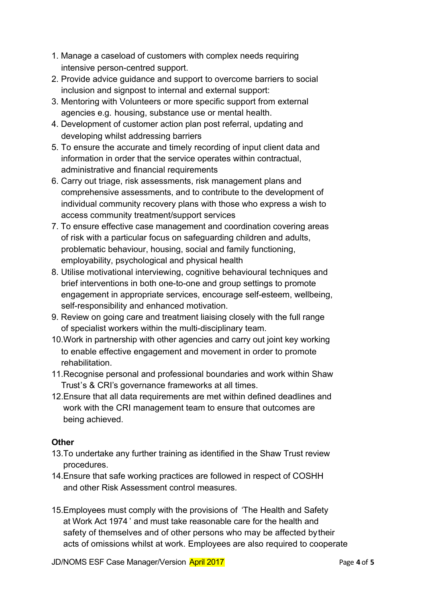- 1. Manage a caseload of customers with complex needs requiring intensive person-centred support.
- 2. Provide advice guidance and support to overcome barriers to social inclusion and signpost to internal and external support:
- 3. Mentoring with Volunteers or more specific support from external agencies e.g. housing, substance use or mental health.
- 4. Development of customer action plan post referral, updating and developing whilst addressing barriers
- 5. To ensure the accurate and timely recording of input client data and information in order that the service operates within contractual, administrative and financial requirements
- 6. Carry out triage, risk assessments, risk management plans and comprehensive assessments, and to contribute to the development of individual community recovery plans with those who express a wish to access community treatment/support services
- 7. To ensure effective case management and coordination covering areas of risk with a particular focus on safeguarding children and adults, problematic behaviour, housing, social and family functioning, employability, psychological and physical health
- 8. Utilise motivational interviewing, cognitive behavioural techniques and brief interventions in both one-to-one and group settings to promote engagement in appropriate services, encourage self-esteem, wellbeing, self-responsibility and enhanced motivation.
- 9. Review on going care and treatment liaising closely with the full range of specialist workers within the multi-disciplinary team.
- 10.Work in partnership with other agencies and carry out joint key working to enable effective engagement and movement in order to promote rehabilitation.
- 11.Recognise personal and professional boundaries and work within Shaw Trust's & CRI's governance frameworks at all times.
- 12.Ensure that all data requirements are met within defined deadlines and work with the CRI management team to ensure that outcomes are being achieved.

## **Other**

- 13.To undertake any further training as identified in the Shaw Trust review procedures.
- 14.Ensure that safe working practices are followed in respect of COSHH and other Risk Assessment control measures.
- 15.Employees must comply with the provisions of 'The Health and Safety at Work Act 1974 ' and must take reasonable care for the health and safety of themselves and of other persons who may be affected by their acts of omissions whilst at work. Employees are also required to cooperate